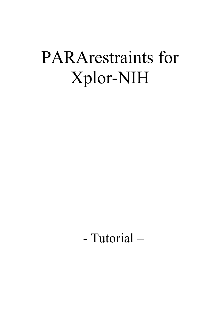# PARArestraints for Xplor-NIH

# - Tutorial –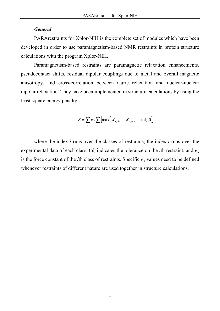#### *General*

PARArestraints for Xplor-NIH is the complete set of modules which have been developed in order to use paramagnetism-based NMR restraints in protein structure calculations with the program Xplor-NIH.

Paramagnetism-based restraints are paramagnetic relaxation enhancements, pseudocontact shifts, residual dipolar couplings due to metal and overall magnetic anisotropy, and cross-correlation between Curie relaxation and nuclear-nuclear dipolar relaxation. They have been implemented in structure calculations by using the least square energy penalty:

$$
E = \sum_{l} w_l \sum_{i} \left[ \max \left( \left| X_{i,obs} - X_{i,calc} \right| - \text{tol}_i, 0 \right) \right]^2
$$

where the index *l* runs over the classes of restraints, the index *i* runs over the experimental data of each class, tol*i* indicates the tolerance on the *i*th restraint, and *wl* is the force constant of the *l*th class of restraints. Specific  $w_l$  values need to be defined whenever restraints of different nature are used together in structure calculations.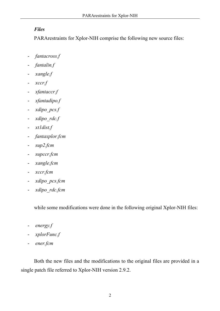# *Files*

PARArestraints for Xplor-NIH comprise the following new source files:

- *fantacross.f*
- *fantalin.f*
- *xangle.f*
- *xccr.f*
- *xfantaccr.f*
- *xfantadipo.f*
- *xdipo\_pcs.f*
- *xdipo\_rdc.f*
- *xt1dist.f*
- *fantaxplor.fcm*
- *sup2.fcm*
- *supccr.fcm*
- *xangle.fcm*
- *xccr.fcm*
- *xdipo\_pcs.fcm*
- *xdipo\_rdc.fcm*

while some modifications were done in the following original Xplor-NIH files:

- *energy.f*
- *xplorFunc.f*
- *ener.fcm*

Both the new files and the modifications to the original files are provided in a single patch file referred to Xplor-NIH version 2.9.2.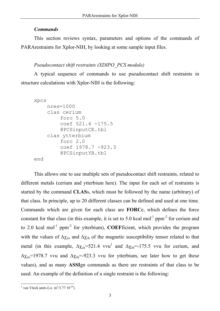# *Commands*

This section reviews syntax, parameters and options of the commands of PARArestraints for Xplor-NIH, by looking at some sample input files.

# *Pseudocontact shift restraints (XDIPO\_PCS module)*

A typical sequence of commands to use pseudocontact shift restraints in structure calculations with Xplor-NIH is the following:

```
xpcs 
    nres=1000 
    clas cerium 
         forc 5.0 
         coef 521.4 -175.5 
         @PCSinputCE.tbl 
    clas ytterbium 
         forc 2.0 
         coef 1978.7 -923.3 
         @PCSinputYB.tbl 
end
```
This allows one to use multiple sets of pseudocontact shift restraints, related to different metals (cerium and ytterbium here). The input for each set of restraints is started by the command **CLAS**s, which must be followed by the name (arbitrary) of that class. In principle, up to 20 different classes can be defined and used at one time. Commands which are given for each class are **FORC**e, which defines the force constant for that class (in this example, it is set to 5.0 kcal mol<sup>-1</sup> ppm<sup>-2</sup> for cerium and to 2.0 kcal mol<sup>-1</sup> ppm<sup>-2</sup> for ytterbium), **COEF**ficient, which provides the program with the values of  $\Delta \chi_{ax}$  and  $\Delta \chi_{rb}$  of the magnetic susceptibility tensor related to that metal (in this example,  $\Delta \chi_{ax} = 521.4$  $\Delta \chi_{ax} = 521.4$  $\Delta \chi_{ax} = 521.4$  vvu<sup>1</sup> and  $\Delta \chi_{rh} = -175.5$  vvu for cerium, and  $\Delta \chi_{ax}$ =1978.7 vvu and  $\Delta \chi_{rb}$ =-923.3 vvu for ytterbium, see later how to get these values), and as many **ASSI**gn commands as there are restraints of that class to be used. An example of the definition of a single restraint is the following:

<span id="page-3-0"></span> $\frac{1}{1}$  van Vleck units (i.e. m<sup>3</sup>/3.77  $10^{35}$ )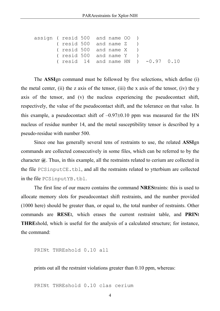```
assign ( resid 500 and name OO ) 
        ( resid 500 and name Z ) 
        ( resid 500 and name X ) 
        ( resid 500 and name Y ) 
        ( resid 14 and name HN ) -0.97 0.10
```
The **ASSI**gn command must be followed by five selections, which define (i) the metal center, (ii) the z axis of the tensor, (iii) the x axis of the tensor, (iv) the y axis of the tensor, and (v) the nucleus experiencing the pseudocontact shift, respectively, the value of the pseudocontact shift, and the tolerance on that value. In this example, a pseudocontact shift of  $-0.97\pm0.10$  ppm was measured for the HN nucleus of residue number 14, and the metal susceptibility tensor is described by a pseudo-residue with number 500.

Since one has generally several tens of restraints to use, the related **ASSI**gn commands are collected consecutively in some files, which can be referred to by the character **@**. Thus, in this example, all the restraints related to cerium are collected in the file PCSinputCE.tbl, and all the restraints related to ytterbium are collected in the file PCSinputYB.tbl.

The first line of our macro contains the command **NRES**traints: this is used to allocate memory slots for pseudocontact shift restraints, and the number provided (1000 here) should be greater than, or equal to, the total number of restraints. Other commands are **RESE**t, which erases the current restraint table, and **PRIN**t **THRE**shold, which is useful for the analysis of a calculated structure; for instance, the command:

PRINt THREshold 0.10 all

prints out all the restraint violations greater than 0.10 ppm, whereas:

PRINt THREshold 0.10 clas cerium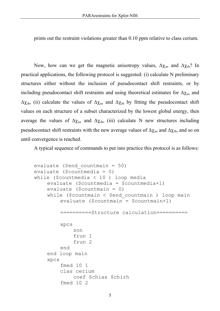prints out the restraint violations greater than 0.10 ppm relative to class cerium.

Now, how can we get the magnetic anisotropy values,  $\Delta \chi_{ax}$  and  $\Delta \chi_{rb}$ ? In practical applications, the following protocol is suggested: (i) calculate N preliminary structures either without the inclusion of pseudocontact shift restraints, or by including pseudocontact shift restraints and using theoretical estimates for  $\Delta \chi_{ax}$  and  $\Delta\chi_{rh}$ , (ii) calculate the values of  $\Delta\chi_{ax}$  and  $\Delta\chi_{rh}$  by fitting the pseudocontact shift values on each structure of a subset characterized by the lowest global energy, then average the values of  $Δχ_{ax}$  and  $Δχ_{rh}$ , (iii) calculate N new structures including pseudocontact shift restraints with the new average values of  $\Delta \chi_{\text{ax}}$  and  $\Delta \chi_{\text{rh}}$ , and so on until convergence is reached.

A typical sequence of commands to put into practice this protocol is as follows:

```
evaluate ($end_countmain = 50) 
evaluate ($countmedia = 0) 
while ($countmedia < 10 ) loop media 
    evaluate ($countmedia = $countmedia+1) 
    evaluate ($countmain = 0) 
    while (\frac{1}{2}countmain \leq \frac{1}{2}end countmain ) loop main
         evaluate ($countmain = $countmain+1) 
         ==========Structure calculation========== 
         xpcs 
              son 
              frun 1 
              frun 2 
         end 
    end loop main 
    xpcs 
         fmed 10 1 
         clas cerium 
              coef $chiax $chirh 
         fmed 10 2
```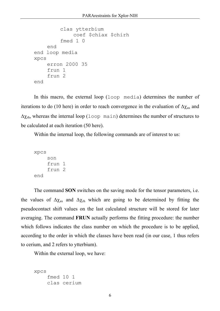```
clas ytterbium 
               coef $chiax $chirh 
          fmed 1 0 
     end 
end loop media 
xpcs 
     erron 2000 35 
     frun 1 
     frun 2 
end
```
In this macro, the external loop (loop media) determines the number of iterations to do (10 here) in order to reach convergence in the evaluation of  $\Delta \chi_{ax}$  and  $\Delta\chi_{\text{rh}}$ , whereas the internal loop (loop main) determines the number of structures to be calculated at each iteration (50 here).

Within the internal loop, the following commands are of interest to us:

```
xpcs 
      son 
      frun 1 
      frun 2 
end
```
The command **SON** switches on the saving mode for the tensor parameters, i.e. the values of  $\Delta \chi_{\text{ax}}$  and  $\Delta \chi_{\text{rh}}$  which are going to be determined by fitting the pseudocontact shift values on the last calculated structure will be stored for later averaging. The command **FRUN** actually performs the fitting procedure: the number which follows indicates the class number on which the procedure is to be applied, according to the order in which the classes have been read (in our case, 1 thus refers to cerium, and 2 refers to ytterbium).

Within the external loop, we have:

```
xpcs 
     fmed 10 1 
     clas cerium
```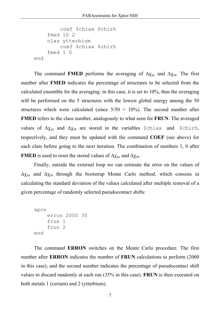```
coef $chiax $chirh 
     fmed 10 2 
     clas ytterbium 
         coef $chiax $chirh 
     fmed 1 0 
end
```
The command **FMED** performs the averaging of  $\Delta \chi_{\text{ax}}$  and  $\Delta \chi_{\text{rh}}$ . The first number after **FMED** indicates the percentage of structures to be selected from the calculated ensemble for the averaging: in this case, it is set to 10%, thus the averaging will be performed on the 5 structures with the lowest global energy among the 50 structures which were calculated (since  $5/50 = 10\%$ ). The second number after **FMED** refers to the class number, analogously to what seen for **FRUN**. The averaged values of  $\Delta \chi_{ax}$  and  $\Delta \chi_{rh}$  are stored in the variables \$chiax and \$chirh, respectively, and they must be updated with the command **COEF** (see above) for each class before going to the next iteration. The combination of numbers 1, 0 after **FMED** is used to reset the stored values of  $\Delta \chi_{\text{ax}}$  and  $\Delta \chi_{\text{rh}}$ .

Finally, outside the external loop we can estimate the error on the values of ∆χax and ∆χrh through the bootstrap Monte Carlo method, which consists in calculating the standard deviation of the values calculated after multiple removal of a given percentage of randomly selected pseudocontact shifts:

```
xpcs 
     erron 2000 35 
     frun 1 
     frun 2 
end
```
The command **ERRON** switches on the Monte Carlo procedure. The first number after **ERRON** indicates the number of **FRUN** calculations to perform (2000 in this case), and the second number indicates the percentage of pseudocontact shift values to discard randomly at each run (35% in this case). **FRUN** is then executed on both metals 1 (cerium) and 2 (ytterbium).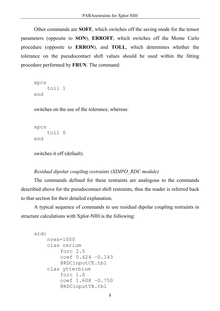Other commands are **SOFF**, which switches off the saving mode for the tensor parameters (opposite to **SON**), **ERROFF**, which switches off the Monte Carlo procedure (opposite to **ERRON**), and **TOLL**, which determines whether the tolerance on the pseudocontact shift values should be used within the fitting procedure performed by **FRUN**. The command:

```
xpcs 
     toll 1 
end
```
switches on the use of the tolerance, whereas:

```
xpcs 
     toll 0 
end
```
switches it off (default).

#### *Residual dipolar coupling restraints (XDIPO\_RDC module)*

The commands defined for these restraints are analogous to the commands described above for the pseudocontact shift restraints, thus the reader is referred back to that section for their detailed explanation.

A typical sequence of commands to use residual dipolar coupling restraints in structure calculations with Xplor-NIH is the following:

```
xrdc 
    nres=1000 
    clas cerium 
         forc 2.5 
         coef 0.424 –0.143 
         @RDCinputCE.tbl 
    clas ytterbium 
         forc 1.0 
         coef 1.608 –0.750 
         @RDCinputYB.tbl
```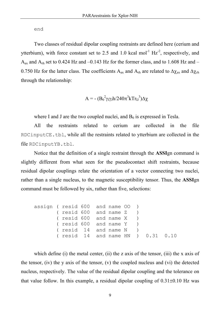#### end

Two classes of residual dipolar coupling restraints are defined here (cerium and ytterbium), with force constant set to 2.5 and 1.0 kcal mol<sup>-1</sup>  $Hz^{-2}$ , respectively, and  $A_{ax}$  and  $A_{rh}$  set to 0.424 Hz and  $-0.143$  Hz for the former class, and to 1.608 Hz and  $-$ 0.750 Hz for the latter class. The coefficients A<sub>ax</sub> and A<sub>rh</sub> are related to  $\Delta \chi_{ax}$  and  $\Delta \chi_{rh}$ through the relationship:

$$
A = - (B_0^2 \gamma_I \gamma_J h / 240 \pi^3 k T r_{IJ}^3) \Delta \chi
$$

where I and J are the two coupled nuclei, and  $B_0$  is expressed in Tesla.

All the restraints related to cerium are collected in the file RDCinputCE.tbl, while all the restraints related to ytterbium are collected in the file RDCinputYB.tbl.

Notice that the definition of a single restraint through the **ASSI**gn command is slightly different from what seen for the pseudocontact shift restraints, because residual dipolar couplings relate the orientation of a vector connecting two nuclei, rather than a single nucleus, to the magnetic susceptibility tensor. Thus, the **ASSI**gn command must be followed by six, rather than five, selections:

```
assign ( resid 600 and name OO ) 
        ( resid 600 and name Z ) 
        ( resid 600 and name X ) 
        ( resid 600 and name Y ) 
        ( resid 14 and name N ) 
        ( resid 14 and name HN ) 0.31 0.10
```
which define (i) the metal center, (ii) the z axis of the tensor, (iii) the x axis of the tensor, (iv) the y axis of the tensor, (v) the coupled nucleus and (vi) the detected nucleus, respectively. The value of the residual dipolar coupling and the tolerance on that value follow. In this example, a residual dipolar coupling of  $0.31\pm0.10$  Hz was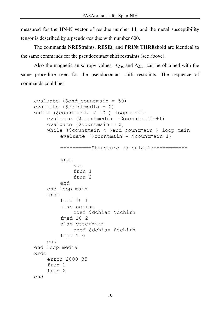measured for the HN-N vector of residue number 14, and the metal susceptibility tensor is described by a pseudo-residue with number 600.

The commands **NRES**traints, **RESE**t, and **PRIN**t **THRE**shold are identical to the same commands for the pseudocontact shift restraints (see above).

Also the magnetic anisotropy values,  $\Delta \chi_{\text{ax}}$  and  $\Delta \chi_{\text{rh}}$ , can be obtained with the same procedure seen for the pseudocontact shift restraints. The sequence of commands could be:

```
evaluate ($end_countmain = 50) 
evaluate ($countmedia = 0) 
while ($countmedia < 10 ) loop media 
    evaluate ($countmedia = $countmedia+1) 
    evaluate ($countmain = 0) 
    while ($countmain < $end_countmain ) loop main 
         evaluate ($countmain = $countmain+1) 
         ==========Structure calculation========== 
         xrdc 
              son 
              frun 1 
              frun 2 
         end 
    end loop main 
    xrdc 
         fmed 10 1 
         clas cerium 
             coef $dchiax $dchirh 
         fmed 10 2 
         clas ytterbium 
              coef $dchiax $dchirh 
         fmed 1 0 
    end 
end loop media 
xrdc 
    erron 2000 35 
    frun 1 
    frun 2 
end
```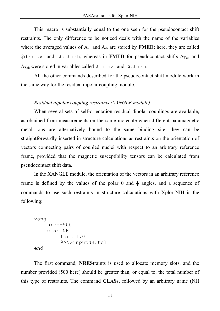This macro is substantially equal to the one seen for the pseudocontact shift restraints. The only difference to be noticed deals with the name of the variables where the averaged values of  $A_{ax}$  and  $A_{rb}$  are stored by **FMED**: here, they are called \$dchiax and \$dchirh, whereas in **FMED** for pseudocontact shifts ∆χax and ∆χrh were stored in variables called \$chiax and \$chirh.

All the other commands described for the pseudocontact shift module work in the same way for the residual dipolar coupling module.

# *Residual dipolar coupling restraints (XANGLE module)*

When several sets of self-orientation residual dipolar couplings are available, as obtained from measurements on the same molecule when different paramagnetic metal ions are alternatively bound to the same binding site, they can be straightforwardly inserted in structure calculations as restraints on the orientation of vectors connecting pairs of coupled nuclei with respect to an arbitrary reference frame, provided that the magnetic susceptibility tensors can be calculated from pseudocontact shift data.

In the XANGLE module, the orientation of the vectors in an arbitrary reference frame is defined by the values of the polar  $\theta$  and  $\phi$  angles, and a sequence of commands to use such restraints in structure calculations with Xplor-NIH is the following:

```
xang 
     nres=500 
     clas NH 
          forc 1.0 
          @ANGinputNH.tbl 
end
```
The first command, **NRES**traints is used to allocate memory slots, and the number provided (500 here) should be greater than, or equal to, the total number of this type of restraints. The command **CLAS**s, followed by an arbitrary name (NH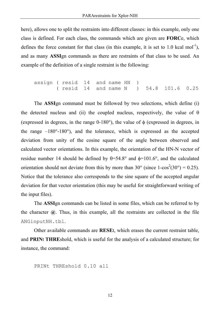here), allows one to split the restraints into different classes: in this example, only one class is defined. For each class, the commands which are given are **FORC**e, which defines the force constant for that class (in this example, it is set to 1.0 kcal mol<sup>-1</sup>), and as many **ASSI**gn commands as there are restraints of that class to be used. An example of the definition of a single restraint is the following:

assign ( resid 14 and name HN ) ( resid 14 and name N ) 54.8 101.6 0.25

The **ASSI**gn command must be followed by two selections, which define (i) the detected nucleus and (ii) the coupled nucleus, respectively, the value of  $\theta$ (expressed in degrees, in the range  $0-180^{\circ}$ ), the value of  $\phi$  (expressed in degrees, in the range  $-180^{\circ}$ -180<sup>o</sup>), and the tolerance, which is expressed as the accepted deviation from unity of the cosine square of the angle between observed and calculated vector orientations. In this example, the orientation of the HN-N vector of residue number 14 should be defined by  $\theta = 54.8^\circ$  and  $\phi = 101.6^\circ$ , and the calculated orientation should not deviate from this by more than  $30^{\circ}$  (since  $1-\cos^2(30^{\circ}) = 0.25$ ). Notice that the tolerance also corresponds to the sine square of the accepted angular deviation for that vector orientation (this may be useful for straightforward writing of the input files).

The **ASSI**gn commands can be listed in some files, which can be referred to by the character  $\omega$ . Thus, in this example, all the restraints are collected in the file ANGinputNH.tbl.

Other available commands are **RESE**t, which erases the current restraint table, and **PRIN**t **THRE**shold, which is useful for the analysis of a calculated structure; for instance, the command:

```
PRINt THREshold 0.10 all
```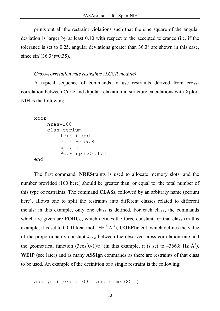prints out all the restraint violations such that the sine square of the angular deviation is larger by at least 0.10 with respect to the accepted tolerance (i.e. if the tolerance is set to 0.25, angular deviations greater than 36.3° are shown in this case, since  $\sin^2(36.3^\circ) = 0.35$ ).

#### *Cross-correlation rate restraints (XCCR module)*

A typical sequence of commands to use restraints derived from crosscorrelation between Curie and dipolar relaxation in structure calculations with Xplor-NIH is the following:

```
xccr 
    nres=100 
     clas cerium 
          forc 0.001 
          coef –366.8 
          weip 1 
          @CCRinputCE.tbl 
end
```
The first command, **NRES**traints is used to allocate memory slots, and the number provided (100 here) should be greater than, or equal to, the total number of this type of restraints. The command **CLAS**s, followed by an arbitrary name (cerium here), allows one to split the restraints into different classes related to different metals: in this example, only one class is defined. For each class, the commands which are given are **FORC**e, which defines the force constant for that class (in this example, it is set to 0.001 kcal mol<sup>-1</sup> Hz<sup>-2</sup> Å<sup>-3</sup>), **COEF**ficient, which defines the value of the proportionality constant  $k_{CCR}$  between the observed cross-correlation rate and the geometrical function  $(3\cos^2\theta - 1)/r^3$  (in this example, it is set to  $-366.8$  Hz  $\AA^3$ ), **WEIP** (see later) and as many **ASSI**gn commands as there are restraints of that class to be used. An example of the definition of a single restraint is the following:

assign ( resid 700 and name OO )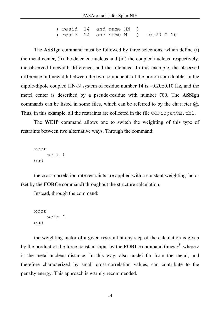( resid 14 and name HN ) ( resid 14 and name N ) -0.20 0.10

The **ASSI**gn command must be followed by three selections, which define (i) the metal center, (ii) the detected nucleus and (iii) the coupled nucleus, respectively, the observed linewidth difference, and the tolerance. In this example, the observed difference in linewidth between the two components of the proton spin doublet in the dipole-dipole coupled HN-N system of residue number 14 is –0.20±0.10 Hz, and the metel center is described by a pseudo-residue with number 700. The **ASSI**gn commands can be listed in some files, which can be referred to by the character **@**. Thus, in this example, all the restraints are collected in the file CCRinputCE.tbl.

The **WEIP** command allows one to switch the weighting of this type of restraints between two alternative ways. Through the command:

```
xccr 
     weip 0 
end
```
the cross-correlation rate restraints are applied with a constant weighting factor (set by the **FORC**e command) throughout the structure calculation.

Instead, through the command:

```
xccr 
     weip 1 
end
```
the weighting factor of a given restraint at any step of the calculation is given by the product of the force constant input by the **FORC**e command times  $r^3$ , where *r* is the metal-nucleus distance. In this way, also nuclei far from the metal, and therefore characterized by small cross-correlation values, can contribute to the penalty energy. This approach is warmly recommended.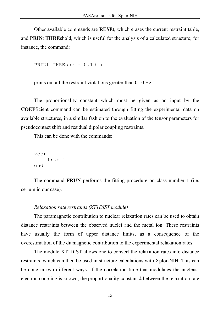Other available commands are **RESE**t, which erases the current restraint table, and **PRIN**t **THRE**shold, which is useful for the analysis of a calculated structure; for instance, the command:

```
PRINt THREshold 0.10 all
```
prints out all the restraint violations greater than 0.10 Hz.

The proportionality constant which must be given as an input by the **COEF**ficient command can be estimated through fitting the experimental data on available structures, in a similar fashion to the evaluation of the tensor parameters for pseudocontact shift and residual dipolar coupling restraints.

This can be done with the commands:

```
xccr 
     frun 1 
end
```
The command **FRUN** performs the fitting procedure on class number 1 (i.e. cerium in our case).

#### *Relaxation rate restraints (XT1DIST module)*

The paramagnetic contribution to nuclear relaxation rates can be used to obtain distance restraints between the observed nuclei and the metal ion. These restraints have usually the form of upper distance limits, as a consequence of the overestimation of the diamagnetic contribution to the experimental relaxation rates.

The module XT1DIST allows one to convert the relaxation rates into distance restraints, which can then be used in structure calculations with Xplor-NIH. This can be done in two different ways. If the correlation time that modulates the nucleuselectron coupling is known, the proportionality constant *k* between the relaxation rate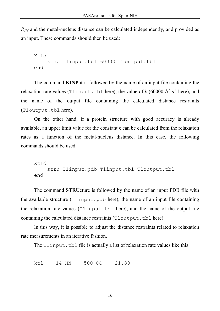*R<sub>1M</sub>* and the metal-nucleus distance can be calculated independently, and provided as an input. These commands should then be used:

```
Xt1d 
    kinp T1input.tbl 60000 T1output.tbl 
end
```
The command **KINP**ut is followed by the name of an input file containing the relaxation rate values (Tlinput.tbl here), the value of  $k(60000 \text{ Å}^6 \text{ s}^{-1}$  here), and the name of the output file containing the calculated distance restraints (T1output.tbl here).

On the other hand, if a protein structure with good accuracy is already available, an upper limit value for the constant *k* can be calculated from the relaxation rates as a function of the metal-nucleus distance. In this case, the following commands should be used:

```
Xt1d 
    stru T1input.pdb T1input.tbl T1output.tbl 
end
```
The command **STRU**cture is followed by the name of an input PDB file with the available structure (T1input.pdb here), the name of an input file containing the relaxation rate values (T1input.tbl here), and the name of the output file containing the calculated distance restraints (T1output.tbl here).

In this way, it is possible to adjust the distance restraints related to relaxation rate measurements in an iterative fashion.

The T1 input.tbl file is actually a list of relaxation rate values like this:

kt1 14 HN 500 OO 21.80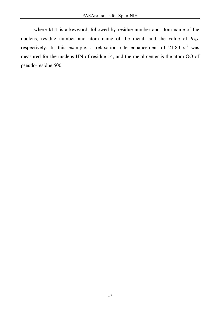where kt1 is a keyword, followed by residue number and atom name of the nucleus, residue number and atom name of the metal, and the value of  $R_{1M}$ , respectively. In this example, a relaxation rate enhancement of  $21.80 \text{ s}^{-1}$  was measured for the nucleus HN of residue 14, and the metal center is the atom OO of pseudo-residue 500.